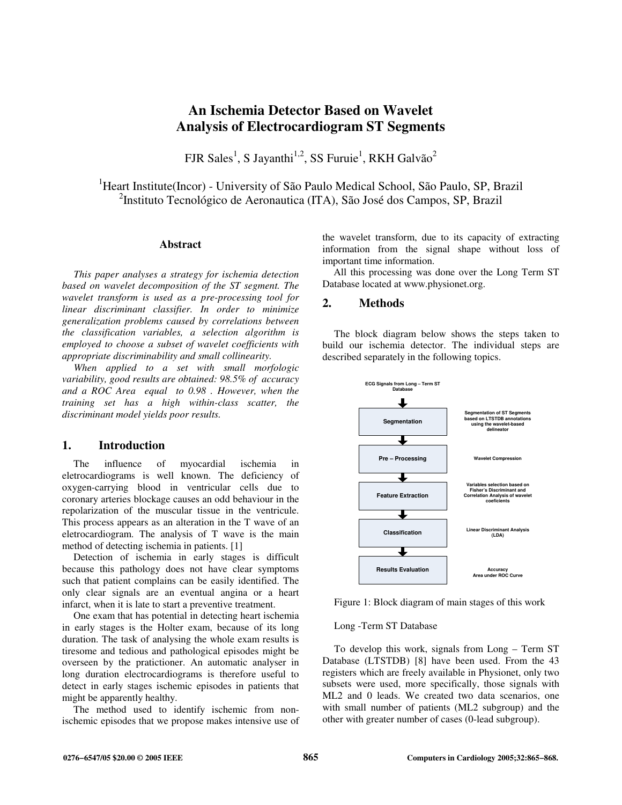# **An Ischemia Detector Based on Wavelet Analysis of Electrocardiogram ST Segments**

FJR Sales<sup>1</sup>, S Jayanthi<sup>1,2</sup>, SS Furuie<sup>1</sup>, RKH Galvão<sup>2</sup>

<sup>1</sup>Heart Institute(Incor) - University of São Paulo Medical School, São Paulo, SP, Brazil 2 Instituto Tecnológico de Aeronautica (ITA), São José dos Campos, SP, Brazil

#### **Abstract**

*This paper analyses a strategy for ischemia detection based on wavelet decomposition of the ST segment. The wavelet transform is used as a pre-processing tool for linear discriminant classifier. In order to minimize generalization problems caused by correlations between the classification variables, a selection algorithm is employed to choose a subset of wavelet coefficients with appropriate discriminability and small collinearity.* 

*When applied to a set with small morfologic variability, good results are obtained: 98.5% of accuracy and a ROC Area equal to 0.98 . However, when the training set has a high within-class scatter, the discriminant model yields poor results.* 

## **1. Introduction**

The influence of myocardial ischemia in eletrocardiograms is well known. The deficiency of oxygen-carrying blood in ventricular cells due to coronary arteries blockage causes an odd behaviour in the repolarization of the muscular tissue in the ventricule. This process appears as an alteration in the T wave of an eletrocardiogram. The analysis of T wave is the main method of detecting ischemia in patients. [1]

Detection of ischemia in early stages is difficult because this pathology does not have clear symptoms such that patient complains can be easily identified. The only clear signals are an eventual angina or a heart infarct, when it is late to start a preventive treatment.

One exam that has potential in detecting heart ischemia in early stages is the Holter exam, because of its long duration. The task of analysing the whole exam results is tiresome and tedious and pathological episodes might be overseen by the pratictioner. An automatic analyser in long duration electrocardiograms is therefore useful to detect in early stages ischemic episodes in patients that might be apparently healthy.

The method used to identify ischemic from nonischemic episodes that we propose makes intensive use of the wavelet transform, due to its capacity of extracting information from the signal shape without loss of important time information.

All this processing was done over the Long Term ST Database located at www.physionet.org.

## **2. Methods**

The block diagram below shows the steps taken to build our ischemia detector. The individual steps are described separately in the following topics.



Figure 1: Block diagram of main stages of this work

#### Long -Term ST Database

To develop this work, signals from Long – Term ST Database (LTSTDB) [8] have been used. From the 43 registers which are freely available in Physionet, only two subsets were used, more specifically, those signals with ML2 and 0 leads. We created two data scenarios, one with small number of patients (ML2 subgroup) and the other with greater number of cases (0-lead subgroup).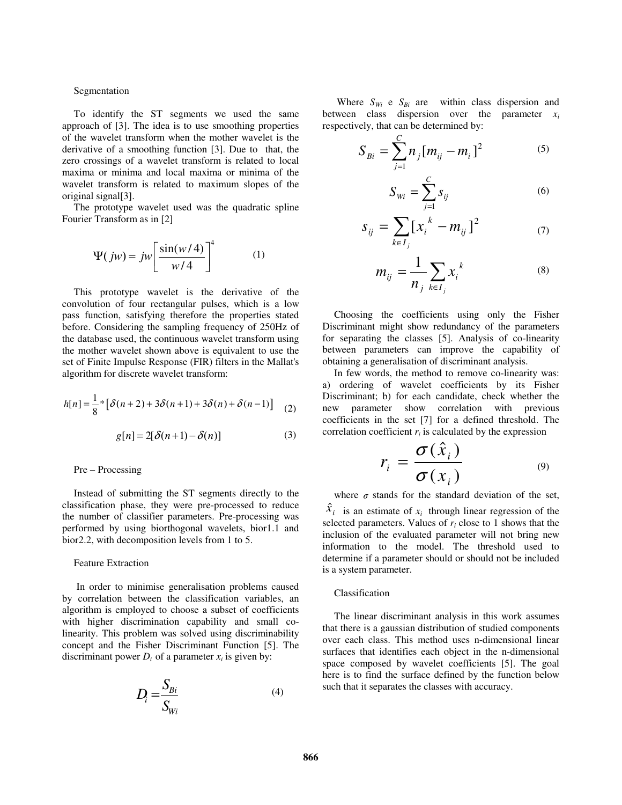#### Segmentation

To identify the ST segments we used the same approach of [3]. The idea is to use smoothing properties of the wavelet transform when the mother wavelet is the derivative of a smoothing function [3]. Due to that, the zero crossings of a wavelet transform is related to local maxima or minima and local maxima or minima of the wavelet transform is related to maximum slopes of the original signal[3].

The prototype wavelet used was the quadratic spline Fourier Transform as in [2]

$$
\Psi(jw) = jw \left[ \frac{\sin(w/4)}{w/4} \right]^4 \tag{1}
$$

This prototype wavelet is the derivative of the convolution of four rectangular pulses, which is a low pass function, satisfying therefore the properties stated before. Considering the sampling frequency of 250Hz of the database used, the continuous wavelet transform using the mother wavelet shown above is equivalent to use the set of Finite Impulse Response (FIR) filters in the Mallat's algorithm for discrete wavelet transform:

$$
h[n] = \frac{1}{8} * [\delta(n+2) + 3\delta(n+1) + 3\delta(n) + \delta(n-1)] \tag{2}
$$

$$
g[n] = 2[\delta(n+1) - \delta(n)] \tag{3}
$$

#### Pre – Processing

Instead of submitting the ST segments directly to the classification phase, they were pre-processed to reduce the number of classifier parameters. Pre-processing was performed by using biorthogonal wavelets, bior1.1 and bior2.2, with decomposition levels from 1 to 5.

### Feature Extraction

In order to minimise generalisation problems caused by correlation between the classification variables, an algorithm is employed to choose a subset of coefficients with higher discrimination capability and small colinearity. This problem was solved using discriminability concept and the Fisher Discriminant Function [5]. The discriminant power  $D_i$  of a parameter  $x_i$  is given by:

$$
D_i = \frac{S_{Bi}}{S_{Wi}}\tag{4}
$$

Where  $S_{Wi}$  e  $S_{Bi}$  are within class dispersion and between class dispersion over the parameter  $x_i$ respectively, that can be determined by:

$$
S_{Bi} = \sum_{j=1}^{C} n_j [m_{ij} - m_i]^2
$$
 (5)

$$
S_{Wi} = \sum_{j=1}^{C} s_{ij} \tag{6}
$$

$$
S_{ij} = \sum_{k \in I_j} [x_i^k - m_{ij}]^2
$$
 (7)

$$
m_{ij} = \frac{1}{n_j} \sum_{k \in I_j} x_i^k \tag{8}
$$

Choosing the coefficients using only the Fisher Discriminant might show redundancy of the parameters for separating the classes [5]. Analysis of co-linearity between parameters can improve the capability of obtaining a generalisation of discriminant analysis.

In few words, the method to remove co-linearity was: a) ordering of wavelet coefficients by its Fisher Discriminant; b) for each candidate, check whether the new parameter show correlation with previous coefficients in the set [7] for a defined threshold. The correlation coefficient  $r_i$  is calculated by the expression

$$
r_i = \frac{\sigma(\hat{x}_i)}{\sigma(x_i)} \tag{9}
$$

where  $\sigma$  stands for the standard deviation of the set,

 $\hat{x}_i$  is an estimate of  $x_i$  through linear regression of the selected parameters. Values of  $r_i$  close to 1 shows that the inclusion of the evaluated parameter will not bring new information to the model. The threshold used to determine if a parameter should or should not be included is a system parameter.

## Classification

The linear discriminant analysis in this work assumes that there is a gaussian distribution of studied components over each class. This method uses n-dimensional linear surfaces that identifies each object in the n-dimensional space composed by wavelet coefficients [5]. The goal here is to find the surface defined by the function below such that it separates the classes with accuracy.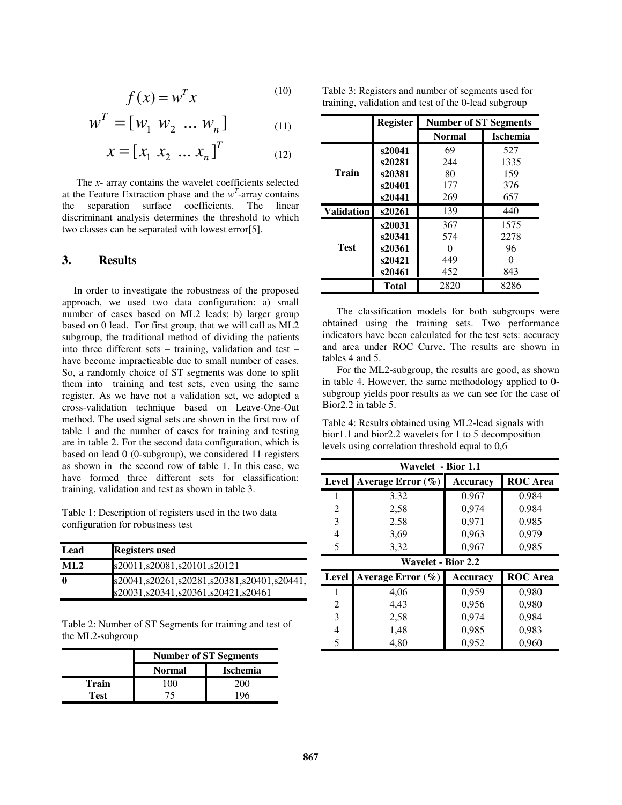$$
f(x) = w^T x \tag{10}
$$

$$
w^T = [w_1 \ w_2 \ ... \ w_n]
$$
 (11)

$$
x = [x_1 \ x_2 \ \dots \ x_n]^T
$$
 (12)

The *x*- array contains the wavelet coefficients selected at the Feature Extraction phase and the  $w<sup>T</sup>$ -array contains the separation surface coefficients. The linear discriminant analysis determines the threshold to which two classes can be separated with lowest error[5].

# **3. Results**

In order to investigate the robustness of the proposed approach, we used two data configuration: a) small number of cases based on ML2 leads; b) larger group based on 0 lead. For first group, that we will call as ML2 subgroup, the traditional method of dividing the patients into three different sets – training, validation and test – have become impracticable due to small number of cases. So, a randomly choice of ST segments was done to split them into training and test sets, even using the same register. As we have not a validation set, we adopted a cross-validation technique based on Leave-One-Out method. The used signal sets are shown in the first row of table 1 and the number of cases for training and testing are in table 2. For the second data configuration, which is based on lead 0 (0-subgroup), we considered 11 registers as shown in the second row of table 1. In this case, we have formed three different sets for classification: training, validation and test as shown in table 3.

Table 1: Description of registers used in the two data configuration for robustness test

| Lead        | <b>Registers</b> used                                                            |
|-------------|----------------------------------------------------------------------------------|
| ML2         | s20011,s20081,s20101,s20121                                                      |
| $\mathbf 0$ | s20041,s20261,s20281,s20381,s20401,s20441,<br>s20031,s20341,s20361,s20421,s20461 |

Table 2: Number of ST Segments for training and test of the ML2-subgroup

|             | <b>Number of ST Segments</b> |                 |  |
|-------------|------------------------------|-----------------|--|
|             | <b>Normal</b>                | <b>Ischemia</b> |  |
| Train       | 100                          | 200             |  |
| <b>Test</b> | 75                           |                 |  |

Table 3: Registers and number of segments used for training, validation and test of the 0-lead subgroup

|                   | <b>Register</b> | <b>Number of ST Segments</b> |                 |
|-------------------|-----------------|------------------------------|-----------------|
|                   |                 | <b>Normal</b>                | <b>Ischemia</b> |
|                   | s20041          | 69                           | 527             |
|                   | s20281          | 244                          | 1335            |
| Train             | s20381          | 80                           | 159             |
|                   | s20401          | 177                          | 376             |
|                   | s20441          | 269                          | 657             |
| <b>Validation</b> | s20261          | 139                          | 440             |
|                   | s20031          | 367                          | 1575            |
|                   | s20341          | 574                          | 2278            |
| <b>Test</b>       | s20361          |                              | 96              |
|                   | s20421          | 449                          |                 |
|                   | s20461          | 452                          | 843             |
|                   | <b>Total</b>    | 2820                         | 8286            |

The classification models for both subgroups were obtained using the training sets. Two performance indicators have been calculated for the test sets: accuracy and area under ROC Curve. The results are shown in tables 4 and 5.

For the ML2-subgroup, the results are good, as shown in table 4. However, the same methodology applied to 0 subgroup yields poor results as we can see for the case of Bior2.2 in table 5.

Table 4: Results obtained using ML2-lead signals with bior1.1 and bior2.2 wavelets for 1 to 5 decomposition levels using correlation threshold equal to 0,6

| Wavelet - Bior 1.1 |                           |                 |                 |  |  |
|--------------------|---------------------------|-----------------|-----------------|--|--|
| Level              | Average Error $(\% )$     | Accuracy        | <b>ROC</b> Area |  |  |
| 1                  | 3.32                      | 0.967           | 0.984           |  |  |
| 2                  | 2,58                      | 0.974           | 0.984           |  |  |
| 3                  | 2.58                      | 0,971           | 0.985           |  |  |
| 4                  | 3.69                      | 0,963           | 0,979           |  |  |
| 5                  | 3,32                      | 0,967           | 0,985           |  |  |
|                    | <b>Wavelet - Bior 2.2</b> |                 |                 |  |  |
|                    |                           |                 |                 |  |  |
| Level              | Average Error $(\%)$      | <b>Accuracy</b> | <b>ROC</b> Area |  |  |
| 1                  | 4,06                      | 0,959           | 0,980           |  |  |
| 2                  | 4,43                      | 0,956           | 0,980           |  |  |
| 3                  | 2,58                      | 0,974           | 0,984           |  |  |
| 4                  | 1,48                      | 0,985           | 0,983           |  |  |